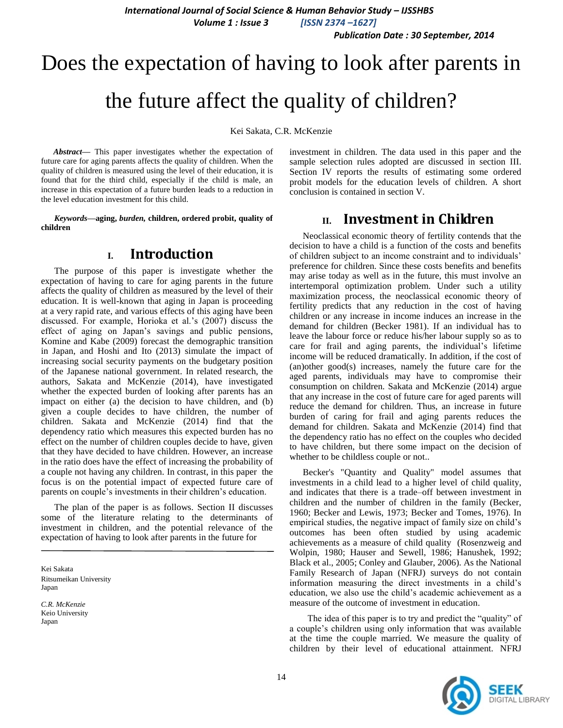*Publication Date : 30 September, 2014*

# Does the expectation of having to look after parents in the future affect the quality of children?

Kei Sakata, C.R. McKenzie

*Abstract***—** This paper investigates whether the expectation of future care for aging parents affects the quality of children. When the quality of children is measured using the level of their education, it is found that for the third child, especially if the child is male, an increase in this expectation of a future burden leads to a reduction in the level education investment for this child.

*Keywords—***aging,** *burden,* **children, ordered probit, quality of children**

# **I. Introduction**

The purpose of this paper is investigate whether the expectation of having to care for aging parents in the future affects the quality of children as measured by the level of their education. It is well-known that aging in Japan is proceeding at a very rapid rate, and various effects of this aging have been discussed. For example, Horioka et al.'s (2007) discuss the effect of aging on Japan's savings and public pensions, Komine and Kabe (2009) forecast the demographic transition in Japan, and Hoshi and Ito (2013) simulate the impact of increasing social security payments on the budgetary position of the Japanese national government. In related research, the authors, Sakata and McKenzie (2014), have investigated whether the expected burden of looking after parents has an impact on either (a) the decision to have children, and (b) given a couple decides to have children, the number of children. Sakata and McKenzie (2014) find that the dependency ratio which measures this expected burden has no effect on the number of children couples decide to have, given that they have decided to have children. However, an increase in the ratio does have the effect of increasing the probability of a couple not having any children. In contrast, in this paper the focus is on the potential impact of expected future care of parents on couple's investments in their children's education.

The plan of the paper is as follows. Section II discusses some of the literature relating to the determinants of investment in children, and the potential relevance of the expectation of having to look after parents in the future for

Kei Sakata Ritsumeikan University Japan

*C.R. McKenzie* Keio University Japan

investment in children. The data used in this paper and the sample selection rules adopted are discussed in section III. Section IV reports the results of estimating some ordered probit models for the education levels of children. A short conclusion is contained in section V.

## **II. Investment in Children**

Neoclassical economic theory of fertility contends that the decision to have a child is a function of the costs and benefits of children subject to an income constraint and to individuals' preference for children. Since these costs benefits and benefits may arise today as well as in the future, this must involve an intertemporal optimization problem. Under such a utility maximization process, the neoclassical economic theory of fertility predicts that any reduction in the cost of having children or any increase in income induces an increase in the demand for children (Becker 1981). If an individual has to leave the labour force or reduce his/her labour supply so as to care for frail and aging parents, the individual's lifetime income will be reduced dramatically. In addition, if the cost of (an)other good(s) increases, namely the future care for the aged parents, individuals may have to compromise their consumption on children. Sakata and McKenzie (2014) argue that any increase in the cost of future care for aged parents will reduce the demand for children. Thus, an increase in future burden of caring for frail and aging parents reduces the demand for children. Sakata and McKenzie (2014) find that the dependency ratio has no effect on the couples who decided to have children, but there some impact on the decision of whether to be childless couple or not..

Becker's "Quantity and Quality" model assumes that investments in a child lead to a higher level of child quality, and indicates that there is a trade–off between investment in children and the number of children in the family (Becker, 1960; Becker and Lewis, 1973; Becker and Tomes, 1976). In empirical studies, the negative impact of family size on child's outcomes has been often studied by using academic achievements as a measure of child quality (Rosenzweig and Wolpin, 1980; Hauser and Sewell, 1986; Hanushek, 1992; Black et al., 2005; Conley and Glauber, 2006). As the National Family Research of Japan (NFRJ) surveys do not contain information measuring the direct investments in a child's education, we also use the child's academic achievement as a measure of the outcome of investment in education.

 The idea of this paper is to try and predict the "quality" of a couple's children using only information that was available at the time the couple married. We measure the quality of children by their level of educational attainment. NFRJ

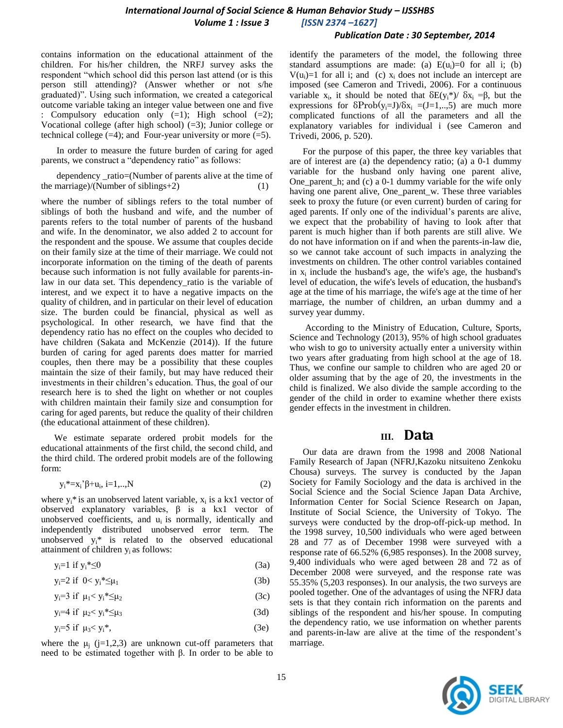#### *Publication Date : 30 September, 2014*

contains information on the educational attainment of the children. For his/her children, the NRFJ survey asks the respondent "which school did this person last attend (or is this person still attending)? (Answer whether or not s/he graduated)". Using such information, we created a categorical outcome variable taking an integer value between one and five : Compulsory education only (=1); High school (=2); Vocational college (after high school) (=3); Junior college or technical college  $(=4)$ ; and Four-year university or more  $(=5)$ .

In order to measure the future burden of caring for aged parents, we construct a "dependency ratio" as follows:

dependency \_ratio=(Number of parents alive at the time of the marriage)/(Number of siblings+2)

where the number of siblings refers to the total number of siblings of both the husband and wife, and the number of parents refers to the total number of parents of the husband and wife. In the denominator, we also added 2 to account for the respondent and the spouse. We assume that couples decide on their family size at the time of their marriage. We could not incorporate information on the timing of the death of parents because such information is not fully available for parents-inlaw in our data set. This dependency\_ratio is the variable of interest, and we expect it to have a negative impacts on the quality of children, and in particular on their level of education size. The burden could be financial, physical as well as psychological. In other research, we have find that the dependency ratio has no effect on the couples who decided to have children (Sakata and McKenzie (2014)). If the future burden of caring for aged parents does matter for married couples, then there may be a possibility that these couples maintain the size of their family, but may have reduced their investments in their children's education. Thus, the goal of our research here is to shed the light on whether or not couples with children maintain their family size and consumption for caring for aged parents, but reduce the quality of their children (the educational attainment of these children).

We estimate separate ordered probit models for the educational attainments of the first child, the second child, and the third child. The ordered probit models are of the following form:

$$
y_i^* = x_i^* \beta + u_i, i = 1, ..., N
$$
 (2)

where  $y_i^*$  is an unobserved latent variable,  $x_i$  is a kx1 vector of observed explanatory variables,  $β$  is a kx1 vector of unobserved coefficients, and  $u_i$  is normally, identically and independently distributed unobserved error term. The unobserved  $y_i^*$  is related to the observed educational attainment of children  $y_i$  as follows:

$$
y_i = 1 \text{ if } y_i^* \le 0 \tag{3a}
$$

$$
y_i=2 \text{ if } 0 < y_i^* \leq \mu_1 \tag{3b}
$$

$$
y_i=3 \text{ if } \mu_1 < y_i * \leq \mu_2 \tag{3c}
$$

 $y_i=4 \text{ if } \mu_2 < y_i * \leq \mu_3$  (3d)

 $y_i = 5$  if  $\mu_3 < y_i^*$ , (3e)

where the  $\mu_i$  (j=1,2,3) are unknown cut-off parameters that need to be estimated together with β. In order to be able to identify the parameters of the model, the following three standard assumptions are made: (a)  $E(u_i)=0$  for all i; (b)  $V(u_i)=1$  for all i; and (c)  $x_i$  does not include an intercept are imposed (see Cameron and Trivedi, 2006). For a continuous variable  $x_i$ , it should be noted that  $\delta E(y_i^*)/\delta x_i = \beta$ , but the expressions for  $\delta \text{Prob}(y_i=J)/\delta x_i = (J=1,..,5)$  are much more complicated functions of all the parameters and all the explanatory variables for individual i (see Cameron and Trivedi, 2006, p. 520).

For the purpose of this paper, the three key variables that are of interest are (a) the dependency ratio; (a) a 0-1 dummy variable for the husband only having one parent alive, One\_parent\_h; and (c) a 0-1 dummy variable for the wife only having one parent alive, One\_parent\_w. These three variables seek to proxy the future (or even current) burden of caring for aged parents. If only one of the individual's parents are alive, we expect that the probability of having to look after that parent is much higher than if both parents are still alive. We do not have information on if and when the parents-in-law die, so we cannot take account of such impacts in analyzing the investments on children. The other control variables contained in  $x_i$  include the husband's age, the wife's age, the husband's level of education, the wife's levels of education, the husband's age at the time of his marriage, the wife's age at the time of her marriage, the number of children, an urban dummy and a survey year dummy.

According to the Ministry of Education, Culture, Sports, Science and Technology (2013), 95% of high school graduates who wish to go to university actually enter a university within two years after graduating from high school at the age of 18. Thus, we confine our sample to children who are aged 20 or older assuming that by the age of 20, the investments in the child is finalized. We also divide the sample according to the gender of the child in order to examine whether there exists gender effects in the investment in children.

## **III. Data**

Our data are drawn from the 1998 and 2008 National Family Research of Japan (NFRJ,Kazoku nitsuiteno Zenkoku Chousa) surveys. The survey is conducted by the Japan Society for Family Sociology and the data is archived in the Social Science and the Social Science Japan Data Archive, Information Center for Social Science Research on Japan, Institute of Social Science, the University of Tokyo. The surveys were conducted by the drop-off-pick-up method. In the 1998 survey, 10,500 individuals who were aged between 28 and 77 as of December 1998 were surveyed with a response rate of 66.52% (6,985 responses). In the 2008 survey, 9,400 individuals who were aged between 28 and 72 as of December 2008 were surveyed, and the response rate was 55.35% (5,203 responses). In our analysis, the two surveys are pooled together. One of the advantages of using the NFRJ data sets is that they contain rich information on the parents and siblings of the respondent and his/her spouse. In computing the dependency ratio, we use information on whether parents and parents-in-law are alive at the time of the respondent's marriage.

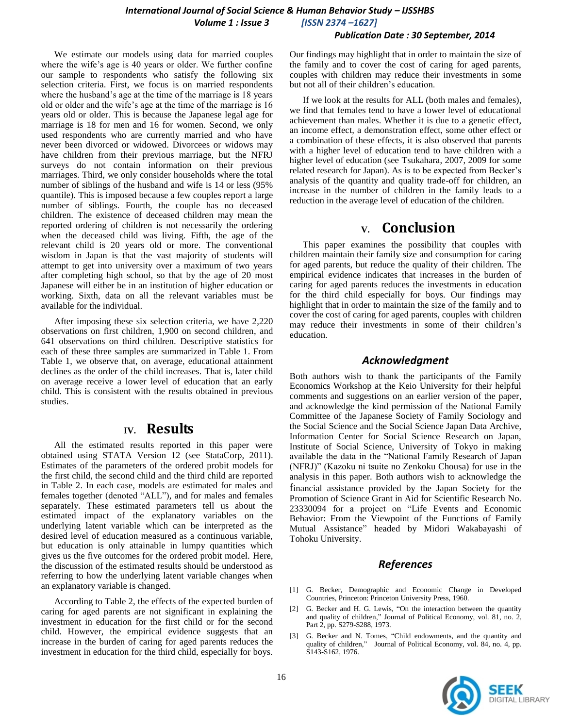#### *Publication Date : 30 September, 2014*

We estimate our models using data for married couples where the wife's age is 40 years or older. We further confine our sample to respondents who satisfy the following six selection criteria. First, we focus is on married respondents where the husband's age at the time of the marriage is 18 years old or older and the wife's age at the time of the marriage is 16 years old or older. This is because the Japanese legal age for marriage is 18 for men and 16 for women. Second, we only used respondents who are currently married and who have never been divorced or widowed. Divorcees or widows may have children from their previous marriage, but the NFRJ surveys do not contain information on their previous marriages. Third, we only consider households where the total number of siblings of the husband and wife is 14 or less (95% quantile). This is imposed because a few couples report a large number of siblings. Fourth, the couple has no deceased children. The existence of deceased children may mean the reported ordering of children is not necessarily the ordering when the deceased child was living. Fifth, the age of the relevant child is 20 years old or more. The conventional wisdom in Japan is that the vast majority of students will attempt to get into university over a maximum of two years after completing high school, so that by the age of 20 most Japanese will either be in an institution of higher education or working. Sixth, data on all the relevant variables must be available for the individual.

After imposing these six selection criteria, we have 2,220 observations on first children, 1,900 on second children, and 641 observations on third children. Descriptive statistics for each of these three samples are summarized in Table 1. From Table 1, we observe that, on average, educational attainment declines as the order of the child increases. That is, later child on average receive a lower level of education that an early child. This is consistent with the results obtained in previous studies.

## **IV. Results**

All the estimated results reported in this paper were obtained using STATA Version 12 (see StataCorp, 2011). Estimates of the parameters of the ordered probit models for the first child, the second child and the third child are reported in Table 2. In each case, models are estimated for males and females together (denoted "ALL"), and for males and females separately. These estimated parameters tell us about the estimated impact of the explanatory variables on the underlying latent variable which can be interpreted as the desired level of education measured as a continuous variable, but education is only attainable in lumpy quantities which gives us the five outcomes for the ordered probit model. Here, the discussion of the estimated results should be understood as referring to how the underlying latent variable changes when an explanatory variable is changed.

According to Table 2, the effects of the expected burden of caring for aged parents are not significant in explaining the investment in education for the first child or for the second child. However, the empirical evidence suggests that an increase in the burden of caring for aged parents reduces the investment in education for the third child, especially for boys.

Our findings may highlight that in order to maintain the size of the family and to cover the cost of caring for aged parents, couples with children may reduce their investments in some but not all of their children's education.

If we look at the results for ALL (both males and females), we find that females tend to have a lower level of educational achievement than males. Whether it is due to a genetic effect, an income effect, a demonstration effect, some other effect or a combination of these effects, it is also observed that parents with a higher level of education tend to have children with a higher level of education (see Tsukahara, 2007, 2009 for some related research for Japan). As is to be expected from Becker's analysis of the quantity and quality trade-off for children, an increase in the number of children in the family leads to a reduction in the average level of education of the children.

# **V. Conclusion**

This paper examines the possibility that couples with children maintain their family size and consumption for caring for aged parents, but reduce the quality of their children. The empirical evidence indicates that increases in the burden of caring for aged parents reduces the investments in education for the third child especially for boys. Our findings may highlight that in order to maintain the size of the family and to cover the cost of caring for aged parents, couples with children may reduce their investments in some of their children's education.

## *Acknowledgment*

Both authors wish to thank the participants of the Family Economics Workshop at the Keio University for their helpful comments and suggestions on an earlier version of the paper, and acknowledge the kind permission of the National Family Committee of the Japanese Society of Family Sociology and the Social Science and the Social Science Japan Data Archive, Information Center for Social Science Research on Japan, Institute of Social Science, University of Tokyo in making available the data in the "National Family Research of Japan (NFRJ)" (Kazoku ni tsuite no Zenkoku Chousa) for use in the analysis in this paper. Both authors wish to acknowledge the financial assistance provided by the Japan Society for the Promotion of Science Grant in Aid for Scientific Research No. 23330094 for a project on "Life Events and Economic Behavior: From the Viewpoint of the Functions of Family Mutual Assistance" headed by Midori Wakabayashi of Tohoku University.

### *References*

- [1] G. Becker, Demographic and Economic Change in Developed Countries, Princeton: Princeton University Press, 1960.
- [2] G. Becker and H. G. Lewis, "On the interaction between the quantity and quality of children," Journal of Political Economy, vol. 81, no. 2, Part 2, pp. S279-S288, 1973.
- [3] G. Becker and N. Tomes, "Child endowments, and the quantity and quality of children," Journal of Political Economy, vol. 84, no. 4, pp. S143-S162, 1976.

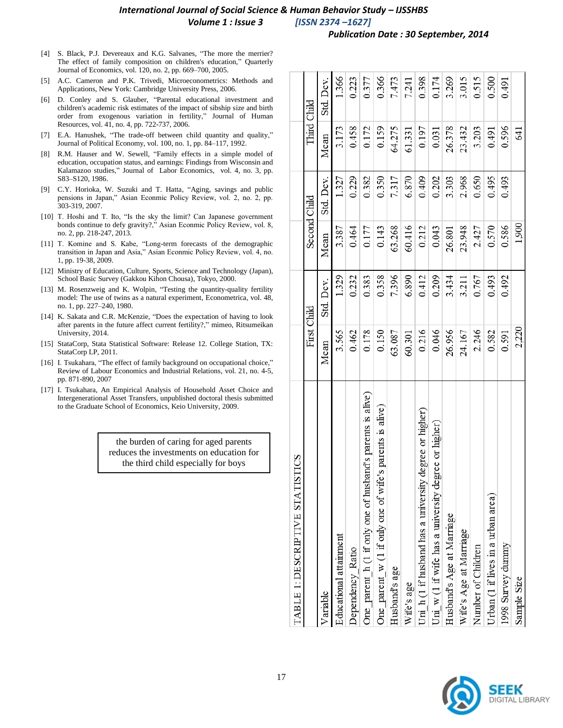#### *Publication Date : 30 September, 2014*

- [4] S. Black, P.J. Devereaux and K.G. Salvanes, "The more the merrier? The effect of family composition on children's education," Quarterly Journal of Economics, vol. 120, no. 2, pp. 669–700, 2005.
- [5] A.C. Cameron and P.K. Trivedi, Microeconometrics: Methods and Applications, New York: Cambridge University Press, 2006.
- [6] D. Conley and S. Glauber, "Parental educational investment and children's academic risk estimates of the impact of sibship size and birth order from exogenous variation in fertility," Journal of Human Resources, vol. 41, no. 4, pp. 722-737, 2006.
- [7] E.A. Hanushek, "The trade-off between child quantity and quality," Journal of Political Economy, vol. 100, no. 1, pp. 84–117, 1992.
- [8] R.M. Hauser and W. Sewell, "Family effects in a simple model of education, occupation status, and earnings: Findings from Wisconsin and Kalamazoo studies," Journal of Labor Economics, vol. 4, no. 3, pp. S83–S120, 1986.
- [9] C.Y. Horioka, W. Suzuki and T. Hatta, "Aging, savings and public pensions in Japan," Asian Econmic Policy Review, vol. 2, no. 2, pp. 303-319, 2007.
- [10] T. Hoshi and T. Ito, "Is the sky the limit? Can Japanese government bonds continue to defy gravity?," Asian Econmic Policy Review, vol. 8, no. 2, pp. 218-247, 2013.
- [11] T. Komine and S. Kabe, "Long-term forecasts of the demographic transition in Japan and Asia," Asian Econmic Policy Review, vol. 4, no. 1, pp. 19-38, 2009.
- [12] Ministry of Education, Culture, Sports, Science and Technology (Japan), School Basic Survey (Gakkou Kihon Chousa), Tokyo, 2000.
- [13] M. Rosenzweig and K. Wolpin, "Testing the quantity-quality fertility model: The use of twins as a natural experiment, Econometrica, vol. 48, no. 1, pp. 227–240, 1980.
- [14] K. Sakata and C.R. McKenzie, "Does the expectation of having to look after parents in the future affect current fertility?," mimeo, Ritsumeikan University, 2014.
- [15] StataCorp, Stata Statistical Software: Release 12. College Station, TX: StataCorp LP, 2011.
- [16] I. Tsukahara, "The effect of family background on occupational choice," Review of Labour Economics and Industrial Relations, vol. 21, no. 4-5, pp. 871-890, 2007
- [17] I. Tsukahara, An Empirical Analysis of Household Asset Choice and Intergenerational Asset Transfers, unpublished doctoral thesis submitted to the Graduate School of Economics, Keio University, 2009.

the burden of caring for aged parents reduces the investments on education for the third child especially for boys

| TABLE 1: DESCRIPTIVE STATISTICS                            |             |           |              |           |        |             |
|------------------------------------------------------------|-------------|-----------|--------------|-----------|--------|-------------|
|                                                            | First Child |           | Second Child |           |        | Third Child |
| Variable                                                   | Mean        | Std. Dev. | Mean         | Std. Dev. | Mean   | Std. Dev.   |
| Educational attainment                                     | 3.565       | 1.329     | 3.387        | 1.327     | 3.173  | 1.366       |
| Dependency Ratio                                           | 0.462       | 0.232     | 0.464        | 0.229     | 0.458  | 0.223       |
| One_parent_h (1 if only one of husband's parents is alive) | 0.178       | 0.383     | 0.177        | 0.382     | 0.172  | 0.377       |
| One parent $w(1 if only one of wife's parents is alive)$   | 0.150       | 0.358     | 0.143        | 0.350     | 0.159  | 0.366       |
| Husband's age                                              | 63.087      | 7.396     | 63.268       | 7.317     | 64.275 | 7.473       |
| Wife's age                                                 | 60.301      | 6.890     | 60.416       | 6.870     | 61.331 | 7.241       |
| Uni $h(1)$ if husband has a university degree or higher)   | 0.216       | 0.412     | 0.212        | 0.409     | 0.197  | 0.398       |
| Uni $w(1)$ if wife has a university degree or higher)      | 0.046       | 0.209     | 0.043        | 0.202     | 0.031  | 0.174       |
| Husband's Age at Marriage                                  | 26.956      | 3.434     | 26.801       | 3.303     | 26.378 | 3.269       |
| Wife's Age at Marriage                                     | 24.167      | 3.211     | 23.948       | 2.968     | 23.432 | 3.015       |
| Number of Children                                         | 2.246       | 0.767     | 2.427        | 0.650     | 3.203  | 0.515       |
| Urban (1 if lives in a urban area)                         | 0.582       | 0.493     | 0.570        | 0.495     | 0.491  | 0.500       |
| 1998 Survey dunnny                                         | 0.591       | 0.492     | 0.586        | 0.493     | 0.596  | 0.491       |
| Sample Size                                                | 2,220       |           | 1,900        |           | 641    |             |